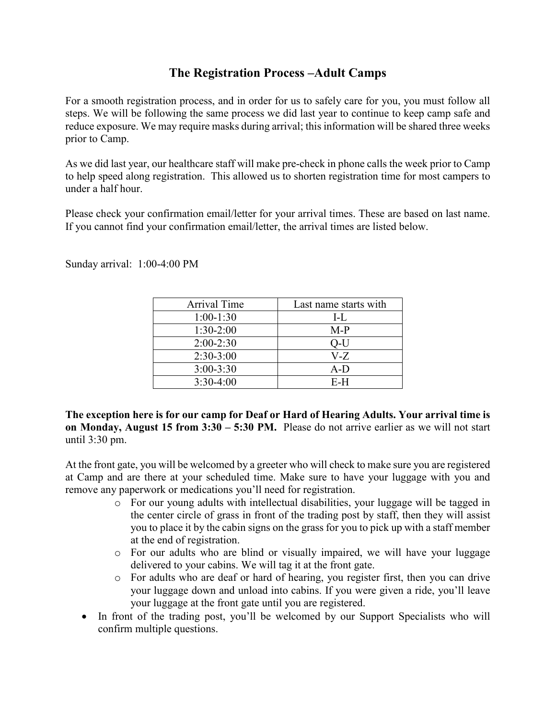# **The Registration Process –Adult Camps**

For a smooth registration process, and in order for us to safely care for you, you must follow all steps. We will be following the same process we did last year to continue to keep camp safe and reduce exposure. We may require masks during arrival; this information will be shared three weeks prior to Camp.

As we did last year, our healthcare staff will make pre-check in phone calls the week prior to Camp to help speed along registration. This allowed us to shorten registration time for most campers to under a half hour.

Please check your confirmation email/letter for your arrival times. These are based on last name. If you cannot find your confirmation email/letter, the arrival times are listed below.

Sunday arrival: 1:00-4:00 PM

| Arrival Time  | Last name starts with |
|---------------|-----------------------|
| $1:00-1:30$   | $L_{\rm L}$           |
| $1:30-2:00$   | $M-P$                 |
| $2:00-2:30$   | O-U                   |
| $2:30-3:00$   | V-Z                   |
| $3:00 - 3:30$ | $A-D$                 |
| $3:30-4:00$   | E-H                   |

**The exception here is for our camp for Deaf or Hard of Hearing Adults. Your arrival time is on Monday, August 15 from 3:30 – 5:30 PM.** Please do not arrive earlier as we will not start until 3:30 pm.

At the front gate, you will be welcomed by a greeter who will check to make sure you are registered at Camp and are there at your scheduled time. Make sure to have your luggage with you and remove any paperwork or medications you'll need for registration.

- o For our young adults with intellectual disabilities, your luggage will be tagged in the center circle of grass in front of the trading post by staff, then they will assist you to place it by the cabin signs on the grass for you to pick up with a staff member at the end of registration.
- o For our adults who are blind or visually impaired, we will have your luggage delivered to your cabins. We will tag it at the front gate.
- o For adults who are deaf or hard of hearing, you register first, then you can drive your luggage down and unload into cabins. If you were given a ride, you'll leave your luggage at the front gate until you are registered.
- In front of the trading post, you'll be welcomed by our Support Specialists who will confirm multiple questions.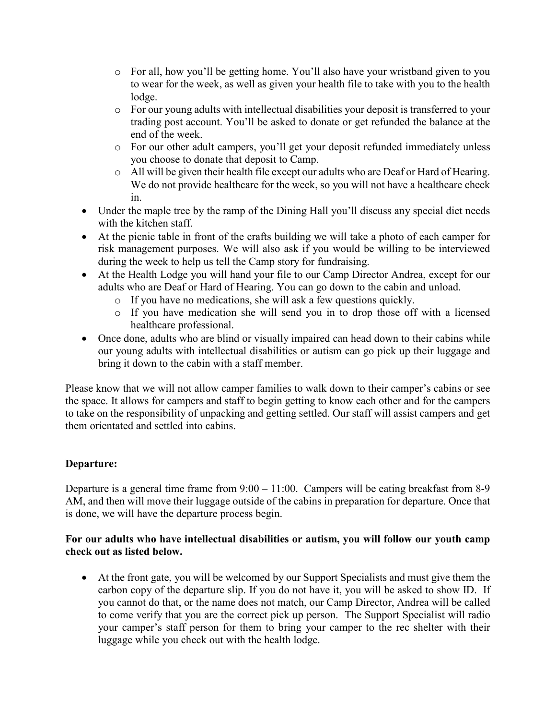- o For all, how you'll be getting home. You'll also have your wristband given to you to wear for the week, as well as given your health file to take with you to the health lodge.
- o For our young adults with intellectual disabilities your deposit is transferred to your trading post account. You'll be asked to donate or get refunded the balance at the end of the week.
- o For our other adult campers, you'll get your deposit refunded immediately unless you choose to donate that deposit to Camp.
- o All will be given their health file except our adults who are Deaf or Hard of Hearing. We do not provide healthcare for the week, so you will not have a healthcare check in.
- Under the maple tree by the ramp of the Dining Hall you'll discuss any special diet needs with the kitchen staff.
- At the picnic table in front of the crafts building we will take a photo of each camper for risk management purposes. We will also ask if you would be willing to be interviewed during the week to help us tell the Camp story for fundraising.
- At the Health Lodge you will hand your file to our Camp Director Andrea, except for our adults who are Deaf or Hard of Hearing. You can go down to the cabin and unload.
	- o If you have no medications, she will ask a few questions quickly.
	- o If you have medication she will send you in to drop those off with a licensed healthcare professional.
- Once done, adults who are blind or visually impaired can head down to their cabins while our young adults with intellectual disabilities or autism can go pick up their luggage and bring it down to the cabin with a staff member.

Please know that we will not allow camper families to walk down to their camper's cabins or see the space. It allows for campers and staff to begin getting to know each other and for the campers to take on the responsibility of unpacking and getting settled. Our staff will assist campers and get them orientated and settled into cabins.

### **Departure:**

Departure is a general time frame from 9:00 – 11:00. Campers will be eating breakfast from 8-9 AM, and then will move their luggage outside of the cabins in preparation for departure. Once that is done, we will have the departure process begin.

#### **For our adults who have intellectual disabilities or autism, you will follow our youth camp check out as listed below.**

• At the front gate, you will be welcomed by our Support Specialists and must give them the carbon copy of the departure slip. If you do not have it, you will be asked to show ID. If you cannot do that, or the name does not match, our Camp Director, Andrea will be called to come verify that you are the correct pick up person. The Support Specialist will radio your camper's staff person for them to bring your camper to the rec shelter with their luggage while you check out with the health lodge.